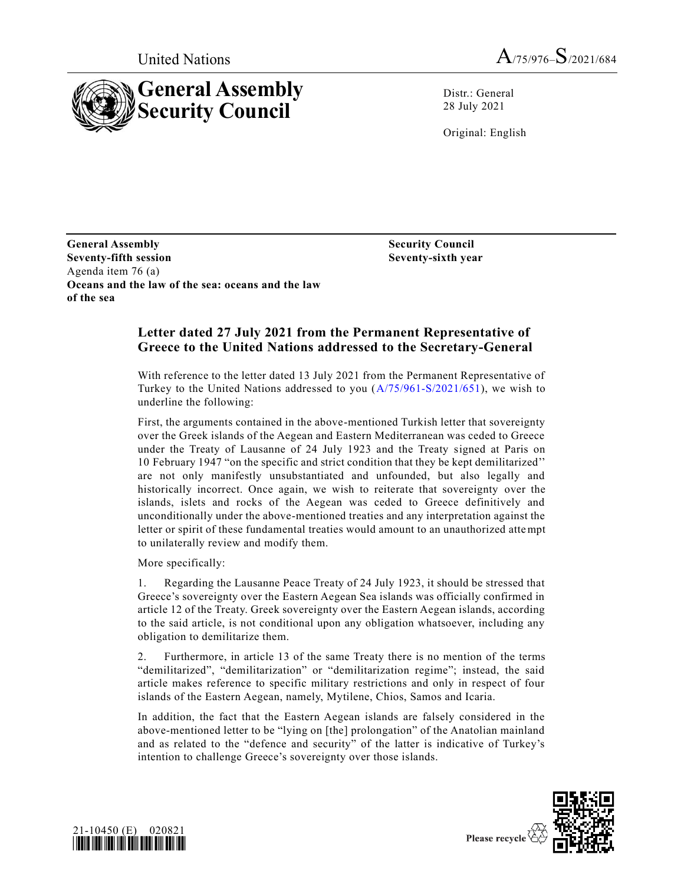



Distr.: General 28 July 2021

Original: English

**General Assembly Seventy-fifth session** Agenda item 76 (a) **Oceans and the law of the sea: oceans and the law of the sea** 

**Security Council Seventy-sixth year**

## **Letter dated 27 July 2021 from the Permanent Representative of Greece to the United Nations addressed to the Secretary-General**

With reference to the letter dated 13 July 2021 from the Permanent Representative of Turkey to the United Nations addressed to you [\(A/75/961-S/2021/651\)](https://undocs.org/en/A/75/961), we wish to underline the following:

First, the arguments contained in the above-mentioned Turkish letter that sovereignty over the Greek islands of the Aegean and Eastern Mediterranean was ceded to Greece under the Treaty of Lausanne of 24 July 1923 and the Treaty signed at Paris on 10 February 1947 "on the specific and strict condition that they be kept demilitarized'' are not only manifestly unsubstantiated and unfounded, but also legally and historically incorrect. Once again, we wish to reiterate that sovereignty over the islands, islets and rocks of the Aegean was ceded to Greece definitively and unconditionally under the above-mentioned treaties and any interpretation against the letter or spirit of these fundamental treaties would amount to an unauthorized attempt to unilaterally review and modify them.

More specifically:

1. Regarding the Lausanne Peace Treaty of 24 July 1923, it should be stressed that Greece's sovereignty over the Eastern Aegean Sea islands was officially confirmed in article 12 of the Treaty. Greek sovereignty over the Eastern Aegean islands, according to the said article, is not conditional upon any obligation whatsoever, including any obligation to demilitarize them.

2. Furthermore, in article 13 of the same Treaty there is no mention of the terms "demilitarized", "demilitarization" or "demilitarization regime"; instead, the said article makes reference to specific military restrictions and only in respect of four islands of the Eastern Aegean, namely, Mytilene, Chios, Samos and Icaria.

In addition, the fact that the Eastern Aegean islands are falsely considered in the above-mentioned letter to be "lying on [the] prolongation" of the Anatolian mainland and as related to the "defence and security" of the latter is indicative of Turkey's intention to challenge Greece's sovereignty over those islands.



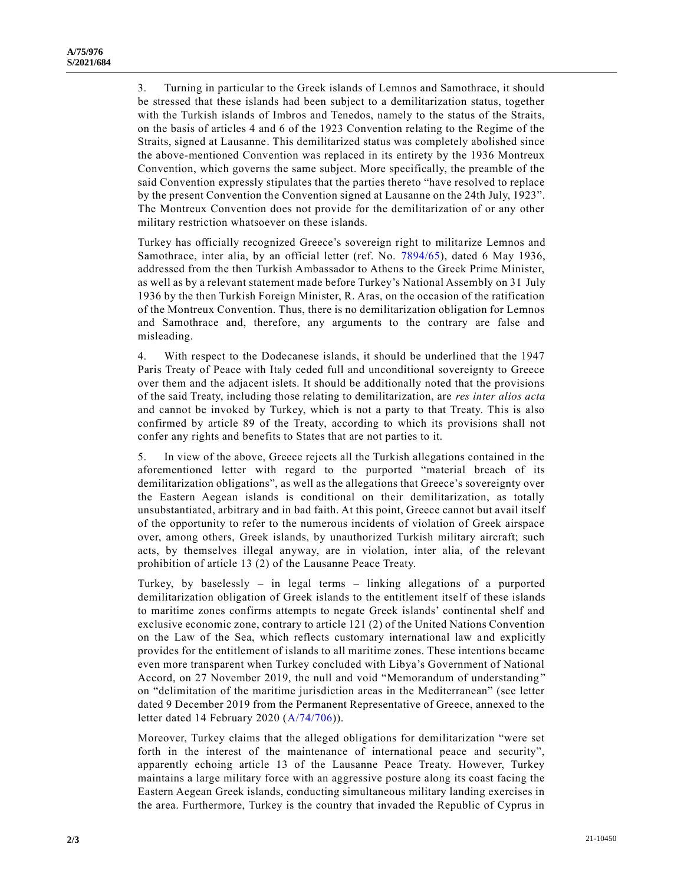3. Turning in particular to the Greek islands of Lemnos and Samothrace, it should be stressed that these islands had been subject to a demilitarization status, together with the Turkish islands of Imbros and Tenedos, namely to the status of the Straits, on the basis of articles 4 and 6 of the 1923 Convention relating to the Regime of the Straits, signed at Lausanne. This demilitarized status was completely abolished since the above-mentioned Convention was replaced in its entirety by the 1936 Montreux Convention, which governs the same subject. More specifically, the preamble of the said Convention expressly stipulates that the parties thereto "have resolved to replace by the present Convention the Convention signed at Lausanne on the 24th July, 1923". The Montreux Convention does not provide for the demilitarization of or any other military restriction whatsoever on these islands.

Turkey has officially recognized Greece's sovereign right to militarize Lemnos and Samothrace, inter alia, by an official letter (ref. No. [7894/65\)](https://undocs.org/en/E/RES/7894/65), dated 6 May 1936, addressed from the then Turkish Ambassador to Athens to the Greek Prime Minister, as well as by a relevant statement made before Turkey's National Assembly on 31 July 1936 by the then Turkish Foreign Minister, R. Aras, on the occasion of the ratification of the Montreux Convention. Thus, there is no demilitarization obligation for Lemnos and Samothrace and, therefore, any arguments to the contrary are false and misleading.

4. With respect to the Dodecanese islands, it should be underlined that the 1947 Paris Treaty of Peace with Italy ceded full and unconditional sovereignty to Greece over them and the adjacent islets. It should be additionally noted that the provisions of the said Treaty, including those relating to demilitarization, are *res inter alios acta*  and cannot be invoked by Turkey, which is not a party to that Treaty. This is also confirmed by article 89 of the Treaty, according to which its provisions shall not confer any rights and benefits to States that are not parties to it.

5. In view of the above, Greece rejects all the Turkish allegations contained in the aforementioned letter with regard to the purported "material breach of its demilitarization obligations", as well as the allegations that Greece's sovereignty over the Eastern Aegean islands is conditional on their demilitarization, as totally unsubstantiated, arbitrary and in bad faith. At this point, Greece cannot but avail itself of the opportunity to refer to the numerous incidents of violation of Greek airspace over, among others, Greek islands, by unauthorized Turkish military aircraft; such acts, by themselves illegal anyway, are in violation, inter alia, of the relevant prohibition of article 13 (2) of the Lausanne Peace Treaty.

Turkey, by baselessly – in legal terms – linking allegations of a purported demilitarization obligation of Greek islands to the entitlement itself of these islands to maritime zones confirms attempts to negate Greek islands' continental shelf and exclusive economic zone, contrary to article 121 (2) of the United Nations Convention on the Law of the Sea, which reflects customary international law and explicitly provides for the entitlement of islands to all maritime zones. These intentions became even more transparent when Turkey concluded with Libya's Government of National Accord, on 27 November 2019, the null and void "Memorandum of understanding " on "delimitation of the maritime jurisdiction areas in the Mediterranean" (see letter dated 9 December 2019 from the Permanent Representative of Greece, annexed to the letter dated 14 February 2020 [\(A/74/706\)](https://undocs.org/en/A/74/706)).

Moreover, Turkey claims that the alleged obligations for demilitarization "were set forth in the interest of the maintenance of international peace and security", apparently echoing article 13 of the Lausanne Peace Treaty. However, Turkey maintains a large military force with an aggressive posture along its coast facing the Eastern Aegean Greek islands, conducting simultaneous military landing exercises in the area. Furthermore, Turkey is the country that invaded the Republic of Cyprus in